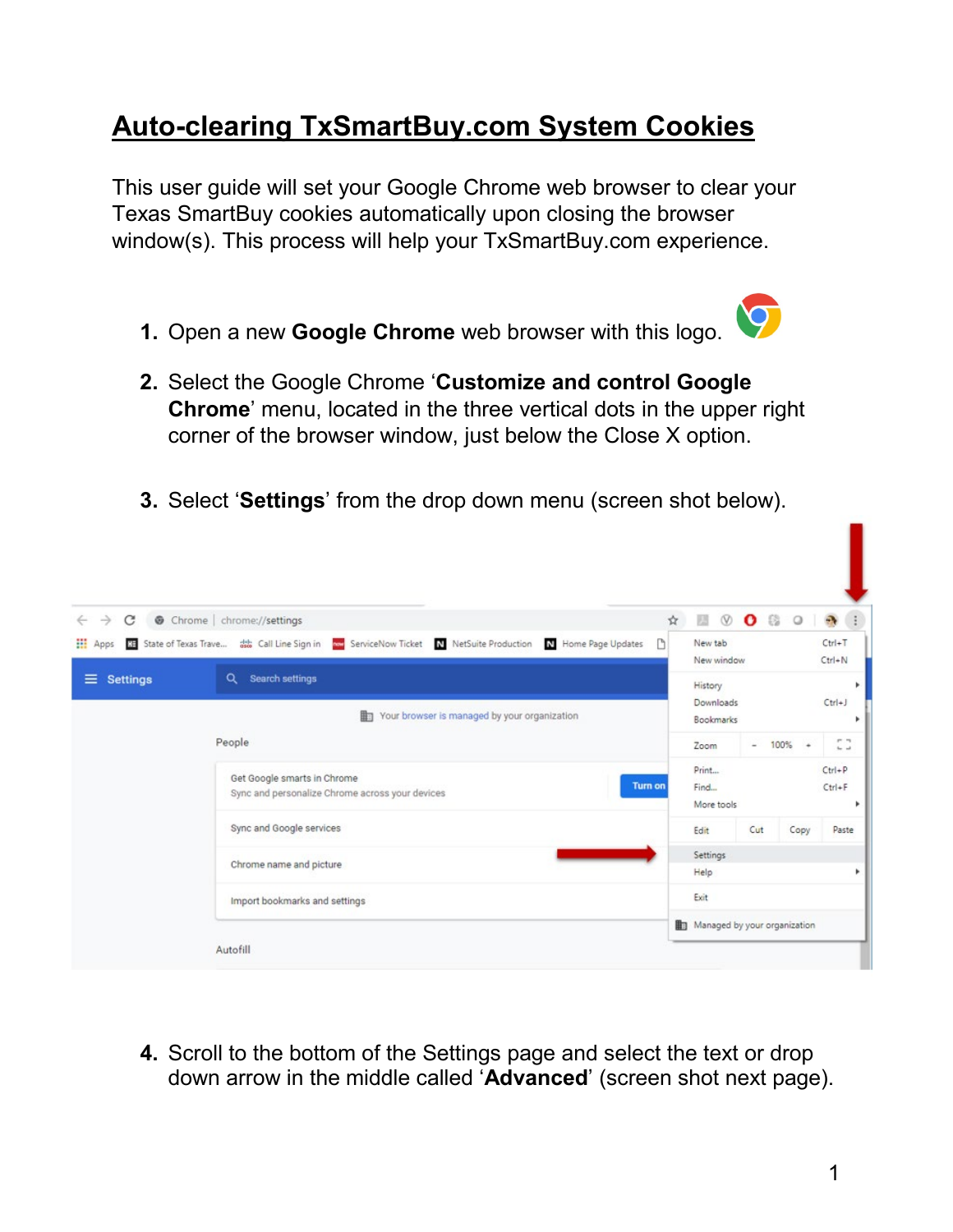## **Auto-clearing TxSmartBuy.com System Cookies**

This user quide will set your Google Chrome web browser to clear your Texas SmartBuy cookies automatically upon closing the browser window(s). This process will help your TxSmartBuy.com experience.

1. Open a new Google Chrome web browser with this logo.



- 2. Select the Google Chrome 'Customize and control Google **Chrome'** menu, located in the three vertical dots in the upper right corner of the browser window, just below the Close X option.
- 3. Select 'Settings' from the drop down menu (screen shot below).

| Ha State of Texas Trave ## Call Line Sign in a ServiceNow Ticket N NetSuite Production N Home Page Updates<br>n<br>Search settings | New tab<br>History                                                                                                                                                     | New window |                                         |               | $Ctrl+T$<br>$Ctrl + N$                            |
|------------------------------------------------------------------------------------------------------------------------------------|------------------------------------------------------------------------------------------------------------------------------------------------------------------------|------------|-----------------------------------------|---------------|---------------------------------------------------|
|                                                                                                                                    |                                                                                                                                                                        |            |                                         |               |                                                   |
| 曲<br>Your browser is managed by your organization                                                                                  | Downloads<br>Bookmarks                                                                                                                                                 |            |                                         |               | $Ctrl + J$                                        |
|                                                                                                                                    |                                                                                                                                                                        |            |                                         |               | P. T.<br>$\Delta\omega$ and                       |
| <b>Turn on</b>                                                                                                                     | Find                                                                                                                                                                   |            |                                         |               | $Ctrl + P$<br>$Ctrl + F$                          |
|                                                                                                                                    | Edit                                                                                                                                                                   |            |                                         |               | Paste                                             |
|                                                                                                                                    | Help                                                                                                                                                                   |            |                                         |               |                                                   |
|                                                                                                                                    | Exit                                                                                                                                                                   |            |                                         |               |                                                   |
|                                                                                                                                    | Get Google smarts in Chrome<br>Sync and personalize Chrome across your devices<br>Sync and Google services<br>Chrome name and picture<br>Import bookmarks and settings |            | Zoom<br>Print<br>More tools<br>Settings | $\sim$<br>Cut | $100\% +$<br>Copy<br>Managed by your organization |

4. Scroll to the bottom of the Settings page and select the text or drop down arrow in the middle called 'Advanced' (screen shot next page).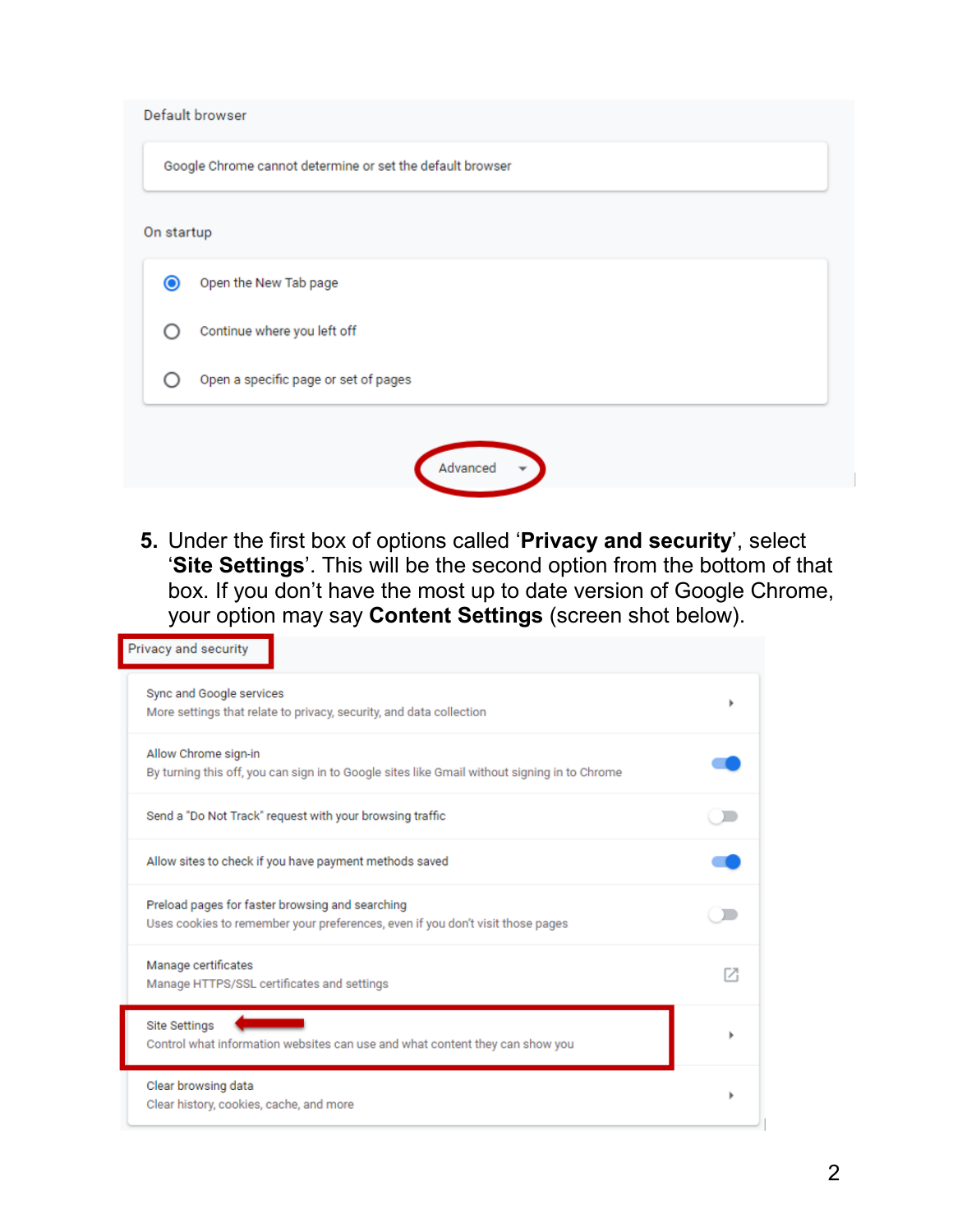| Default browser                                           |
|-----------------------------------------------------------|
| Google Chrome cannot determine or set the default browser |
| On startup                                                |
| Open the New Tab page<br>◉                                |
| Continue where you left off                               |
| Open a specific page or set of pages                      |
|                                                           |
| Advanced                                                  |

 '**Site Settings**'. This will be the second option from the bottom of that box. If you don't have the most up to date version of Google Chrome, your option may say **Content Settings** (screen shot below). **5.** Under the first box of options called '**Privacy and security**', select

| Privacy and security                                                                                                              |  |
|-----------------------------------------------------------------------------------------------------------------------------------|--|
| Sync and Google services<br>More settings that relate to privacy, security, and data collection                                   |  |
| Allow Chrome sign-in<br>By turning this off, you can sign in to Google sites like Gmail without signing in to Chrome              |  |
| Send a "Do Not Track" request with your browsing traffic                                                                          |  |
| Allow sites to check if you have payment methods saved                                                                            |  |
| Preload pages for faster browsing and searching<br>Uses cookies to remember your preferences, even if you don't visit those pages |  |
| Manage certificates<br>Manage HTTPS/SSL certificates and settings                                                                 |  |
| <b>Site Settings</b><br>Control what information websites can use and what content they can show you                              |  |
| Clear browsing data<br>Clear history, cookies, cache, and more                                                                    |  |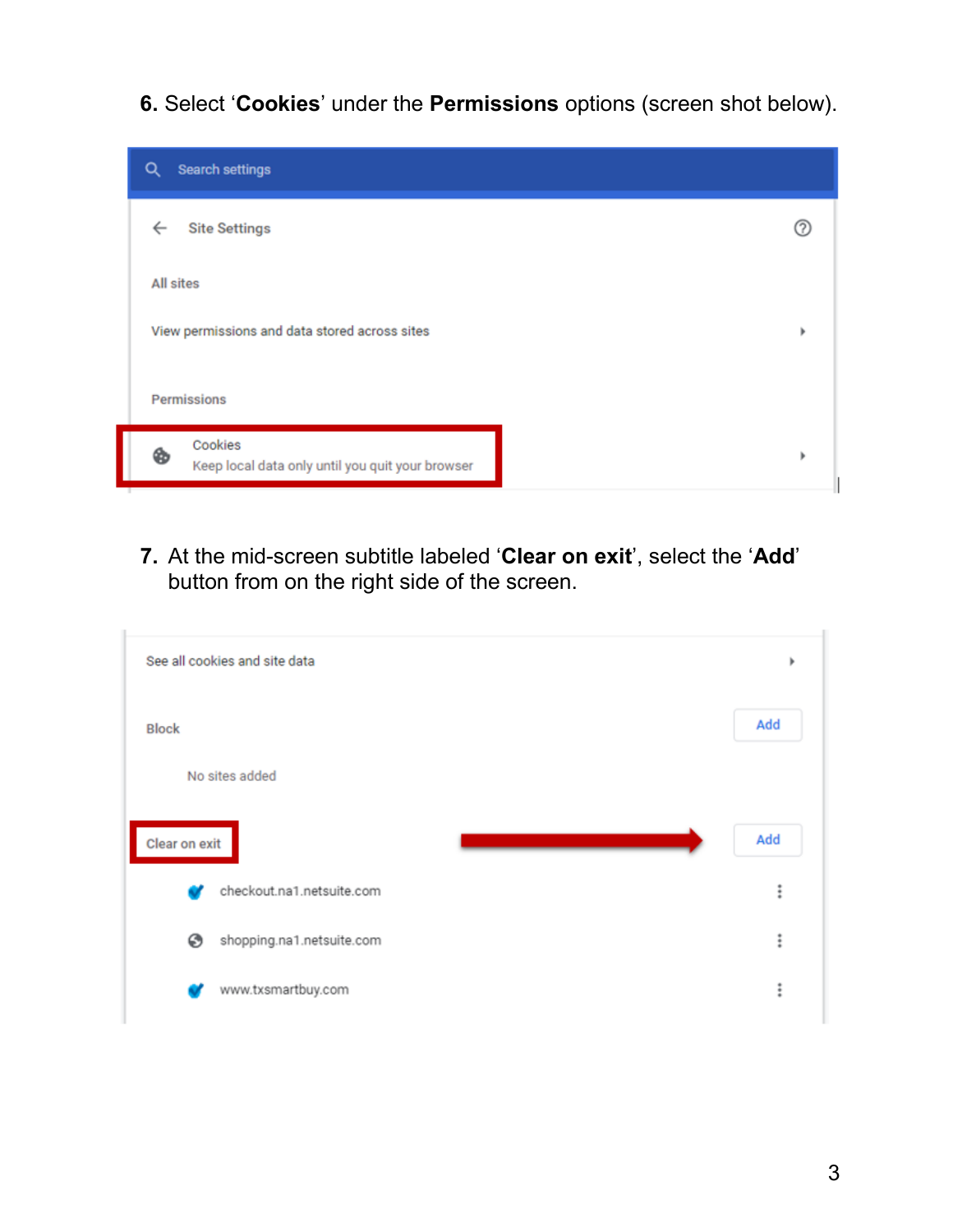**6.** Select '**Cookies**' under the **Permissions** options (screen shot below).



 **7.** At the mid-screen subtitle labeled '**Clear on exit**', select the '**Add**' button from on the right side of the screen.

| Add<br><b>Block</b><br>No sites added<br>Add<br>Clear on exit | See all cookies and site data | ٠ |
|---------------------------------------------------------------|-------------------------------|---|
|                                                               |                               |   |
|                                                               |                               |   |
|                                                               |                               |   |
| $\vdots$<br>checkout.na1.netsuite.com                         |                               |   |
| $\ddot{\ddot{}}$<br>shopping.na1.netsuite.com<br>⊛            |                               |   |
| $\vdots$<br>www.txsmartbuy.com                                |                               |   |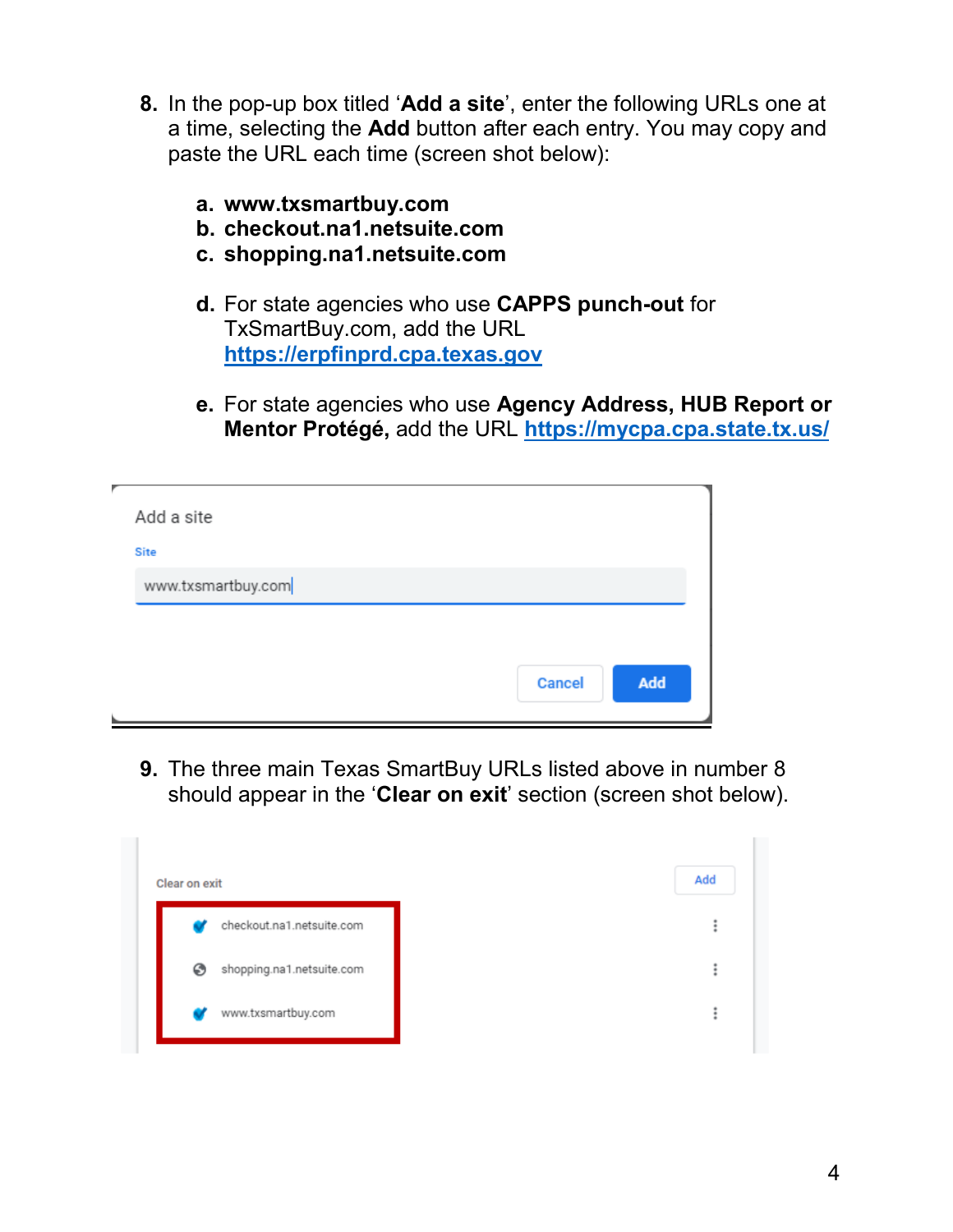- **8.** In the pop-up box titled '**Add a site**', enter the following URLs one at a time, selecting the **Add** button after each entry. You may copy and paste the URL each time (screen shot below):
	- **a. <www.txsmartbuy.com>**
	- **b. [checkout.na1.netsuite.com](https://checkout.na1.netsuite.com)**
	- **c. [shopping.na1.netsuite.com](https://shopping.na1.netsuite.com)**
	- **d.** For state agencies who use **CAPPS punch-out** for TxSmartBuy.com, add the URL **[https://erpfinprd.cpa.texas.gov](https://gcc01.safelinks.protection.outlook.com/?url=https%3A%2F%2Ferpfinprd.cpa.texas.gov%2F&data=02%7C01%7CSumer.Perkins%40cpa.texas.gov%7Cace05d22bc8e443514ef08d6c9a3d702%7C2055feba299d4d0daa5a73b8b42fef08%7C0%7C0%7C636918103829161510&sdata=gGfq0H4KUqP15gi01iMBiKO1lD2uRmURxG07Bued%2FzM%3D&reserved=0)**
	- **e.** For state agencies who use **Agency Address, HUB Report or Mentor Protégé,** add the URL **[https://mycpa.cpa.state.tx.us/](https://gcc01.safelinks.protection.outlook.com/?url=https%3A%2F%2Fmycpa.cpa.state.tx.us%2F&data=02%7C01%7CSumer.Perkins%40cpa.texas.gov%7Cace05d22bc8e443514ef08d6c9a3d702%7C2055feba299d4d0daa5a73b8b42fef08%7C0%7C0%7C636918103829151505&sdata=szYAfDBOcBLju1w081PhsMAyxLP3PmAmhLGSq7L3WVQ%3D&reserved=0)**

| Add a site                        |               |
|-----------------------------------|---------------|
| <b>Site</b><br>www.txsmartbuy.com |               |
|                                   |               |
|                                   | Add<br>Cancel |

 **9.** The three main Texas SmartBuy URLs listed above in number 8 should appear in the '**Clear on exit**' section (screen shot below).

| Clear on exit                  | Add |
|--------------------------------|-----|
| checkout.na1.netsuite.com      |     |
| shopping.na1.netsuite.com<br>☉ |     |
| www.txsmartbuy.com             |     |